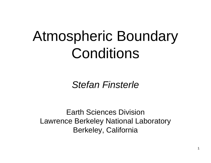# Atmospheric Boundary Conditions

*Stefan Finsterle*

Earth Sciences DivisionLawrence Berkeley National Laboratory Berkeley, California

1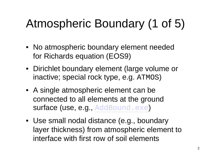## Atmospheric Boundary (1 of 5)

- No atmospheric boundary element needed for Richards equation (EOS9)
- Dirichlet boundary element (large volume or inactive; special rock type, e.g. ATMOS )
- A single atmospheric element can be connected to all elements at the ground surface (use, e.g., AddBound.exe )
- Use small nodal distance (e.g., boundary layer thickness) from atmospheric element to interface with first row of soil elements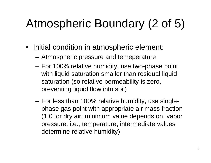## Atmospheric Boundary (2 of 5)

- Initial condition in atmospheric element:
	- –Atmospheric pressure and temeperature
	- – For 100% relative humidity, use two-phase point with liquid saturation smaller than residual liquid saturation (so relative permeability is zero, preventing liquid flow into soil)
	- For less than 100% relative humidity, use singlephase gas point with appropriate air mass fraction (1.0 for dry air; minimum value depends on, vapor pressure, i.e., temperature; intermediate values determine relative humidity)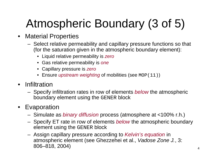## Atmospheric Boundary (3 of 5)

- Material Properties
	- Select relative permeability and capillary pressure functions so that (for the saturation given in the atmospheric boundary element):
		- Liquid relative permeability is *zero*
		- Gas relative permeability is *one*
		- Capillary pressure is *zero*
		- Ensure *upstream weighting* of mobilities (see MOP(11))
- $\bullet$  Infiltration
	- Specify infiltration rates in row of elements *below* the atmospheric boundary element using the GENER block
- Evaporation
	- Simulate as *binary diffusion* process (atmosphere at <100% r.h.)
	- Specify ET rate in row of elements *below* the atmospheric boundary element using the GENER block
	- Assign capillary pressure according to *Kelvin's equation* in atmospheric element (see Ghezzehei et al., *Vadose Zone J.*, 3: 806–818, 2004)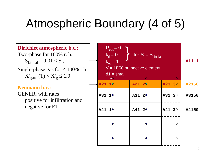### Atmospheric Boundary (4 of 5)

| <b>Dirichlet atmospheric b.c.:</b><br>Two-phase for 100% r. h.<br>$S_{\text{L initial}} = 0.01 < S_{\text{lr}}$<br>Single-phase gas for $< 100\%$ r.h.<br>$X^a_{g,min}(T) < X^a_{g} \le 1.0$ |  | $P_{cap} = 0$<br>$k_{rl} = 0$<br>$k_{\text{ra}} = 1$<br>$d1 = \text{small}$ | for $S_i = S_{i,initial}$<br>$V = 1E50$ or inactive element |                        | A11 1 |
|----------------------------------------------------------------------------------------------------------------------------------------------------------------------------------------------|--|-----------------------------------------------------------------------------|-------------------------------------------------------------|------------------------|-------|
|                                                                                                                                                                                              |  | A21 1 <sup>o</sup>                                                          | $\bullet$<br>A21 2 <sup>o</sup>                             | $\mathbf{O}$<br>A21 3° | A2150 |
| <b>Neumann b.c.:</b><br><b>GENER</b> , with rates<br>positive for infiltration and<br>negative for ET                                                                                        |  | A31 1 <sup>·</sup>                                                          | A31 2 <sup>·</sup>                                          | A31 3°                 | A3150 |
|                                                                                                                                                                                              |  | A41 1 <sup>·</sup>                                                          | A41 2 <sup>·</sup>                                          | A4130                  | A4150 |
|                                                                                                                                                                                              |  |                                                                             |                                                             | $\circ$                |       |
|                                                                                                                                                                                              |  |                                                                             |                                                             | $\circ$                |       |